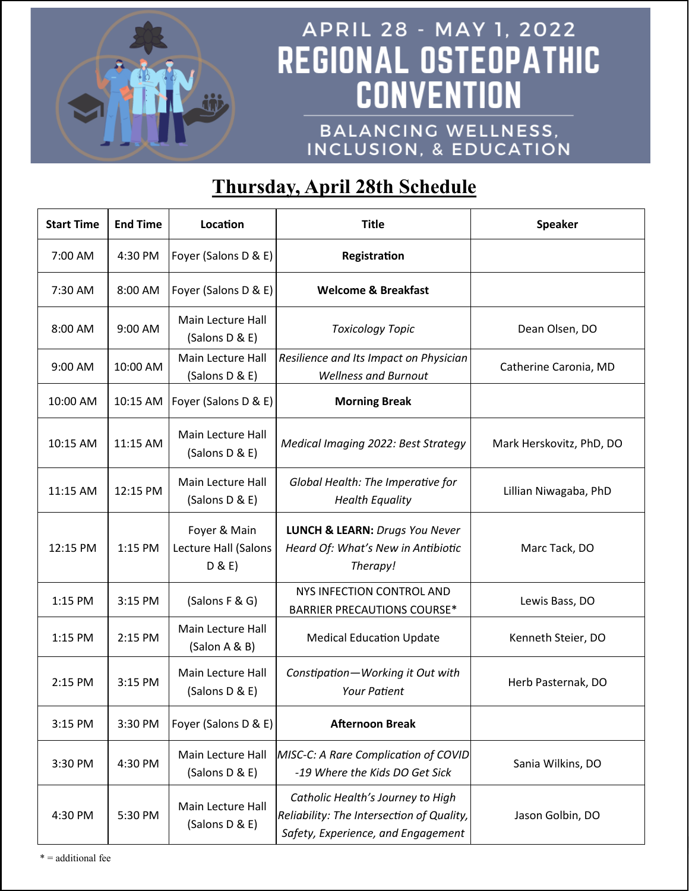

# APRIL 28 - MAY 1, 2022 REGIONAL OSTEOPATHIC **CONVENTION**

BALANCING WELLNESS, INCLUSION, & EDUCATION

## **Thursday, April 28th Schedule**

| <b>Start Time</b> | <b>End Time</b> | Location                                      | <b>Title</b>                                                                                                         | <b>Speaker</b>           |
|-------------------|-----------------|-----------------------------------------------|----------------------------------------------------------------------------------------------------------------------|--------------------------|
| 7:00 AM           | 4:30 PM         | Foyer (Salons D & E)                          | Registration                                                                                                         |                          |
| 7:30 AM           | 8:00 AM         | Foyer (Salons D & E)                          | <b>Welcome &amp; Breakfast</b>                                                                                       |                          |
| 8:00 AM           | 9:00 AM         | Main Lecture Hall<br>(Salons D & E)           | <b>Toxicology Topic</b>                                                                                              | Dean Olsen, DO           |
| 9:00 AM           | 10:00 AM        | Main Lecture Hall<br>(Salons D & E)           | Resilience and Its Impact on Physician<br><b>Wellness and Burnout</b>                                                | Catherine Caronia, MD    |
| 10:00 AM          | 10:15 AM        | Foyer (Salons D & E)                          | <b>Morning Break</b>                                                                                                 |                          |
| 10:15 AM          | 11:15 AM        | <b>Main Lecture Hall</b><br>(Salons D & E)    | Medical Imaging 2022: Best Strategy                                                                                  | Mark Herskovitz, PhD, DO |
| 11:15 AM          | 12:15 PM        | Main Lecture Hall<br>(Salons D & E)           | Global Health: The Imperative for<br><b>Health Equality</b>                                                          | Lillian Niwagaba, PhD    |
| 12:15 PM          | 1:15 PM         | Foyer & Main<br>Lecture Hall (Salons<br>D & E | <b>LUNCH &amp; LEARN: Drugs You Never</b><br>Heard Of: What's New in Antibiotic<br>Therapy!                          | Marc Tack, DO            |
| 1:15 PM           | 3:15 PM         | (Salons F & G)                                | NYS INFECTION CONTROL AND<br><b>BARRIER PRECAUTIONS COURSE*</b>                                                      | Lewis Bass, DO           |
| 1:15 PM           | 2:15 PM         | Main Lecture Hall<br>(Salon A & B)            | <b>Medical Education Update</b>                                                                                      | Kenneth Steier, DO       |
| 2:15 PM           | 3:15 PM         | Main Lecture Hall<br>(Salons D & E)           | Constipation-Working it Out with<br><b>Your Patient</b>                                                              | Herb Pasternak, DO       |
| 3:15 PM           | 3:30 PM         | Foyer (Salons D & E)                          | <b>Afternoon Break</b>                                                                                               |                          |
| 3:30 PM           | 4:30 PM         | Main Lecture Hall<br>(Salons D & E)           | MISC-C: A Rare Complication of COVID<br>-19 Where the Kids DO Get Sick                                               | Sania Wilkins, DO        |
| 4:30 PM           | 5:30 PM         | Main Lecture Hall<br>(Salons D & E)           | Catholic Health's Journey to High<br>Reliability: The Intersection of Quality,<br>Safety, Experience, and Engagement | Jason Golbin, DO         |

\* = additional fee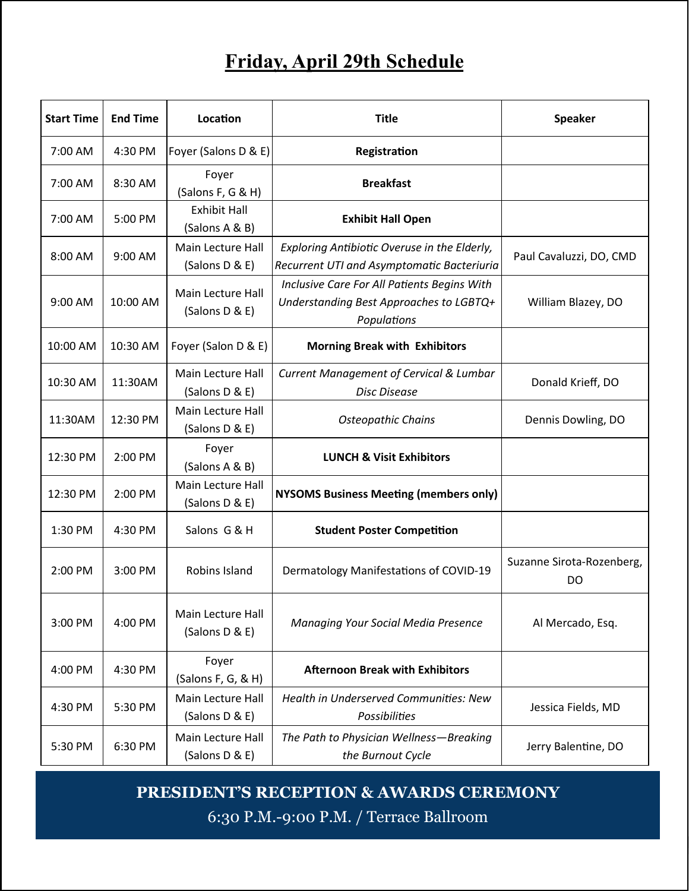### **Friday, April 29th Schedule**

| <b>Start Time</b> | <b>End Time</b> | Location                              | <b>Title</b>                                                                                          | <b>Speaker</b>                  |
|-------------------|-----------------|---------------------------------------|-------------------------------------------------------------------------------------------------------|---------------------------------|
| 7:00 AM           | 4:30 PM         | Foyer (Salons D & E)                  | Registration                                                                                          |                                 |
| 7:00 AM           | 8:30 AM         | Foyer<br>(Salons F, G & H)            | <b>Breakfast</b>                                                                                      |                                 |
| 7:00 AM           | 5:00 PM         | <b>Exhibit Hall</b><br>(Salons A & B) | <b>Exhibit Hall Open</b>                                                                              |                                 |
| 8:00 AM           | 9:00 AM         | Main Lecture Hall<br>(Salons D & E)   | Exploring Antibiotic Overuse in the Elderly,<br>Recurrent UTI and Asymptomatic Bacteriuria            | Paul Cavaluzzi, DO, CMD         |
| 9:00 AM           | 10:00 AM        | Main Lecture Hall<br>(Salons D & E)   | Inclusive Care For All Patients Begins With<br>Understanding Best Approaches to LGBTQ+<br>Populations | William Blazey, DO              |
| 10:00 AM          | 10:30 AM        | Foyer (Salon D & E)                   | <b>Morning Break with Exhibitors</b>                                                                  |                                 |
| 10:30 AM          | 11:30AM         | Main Lecture Hall<br>(Salons D & E)   | <b>Current Management of Cervical &amp; Lumbar</b><br><b>Disc Disease</b>                             | Donald Krieff, DO               |
| 11:30AM           | 12:30 PM        | Main Lecture Hall<br>(Salons D & E)   | <b>Osteopathic Chains</b>                                                                             | Dennis Dowling, DO              |
| 12:30 PM          | 2:00 PM         | Foyer<br>(Salons A & B)               | <b>LUNCH &amp; Visit Exhibitors</b>                                                                   |                                 |
| 12:30 PM          | 2:00 PM         | Main Lecture Hall<br>(Salons D & E)   | <b>NYSOMS Business Meeting (members only)</b>                                                         |                                 |
| 1:30 PM           | 4:30 PM         | Salons G & H                          | <b>Student Poster Competition</b>                                                                     |                                 |
| 2:00 PM           | 3:00 PM         | Robins Island                         | Dermatology Manifestations of COVID-19                                                                | Suzanne Sirota-Rozenberg,<br>DO |
| 3:00 PM           | 4:00 PM         | Main Lecture Hall<br>(Salons D & E)   | Managing Your Social Media Presence                                                                   | Al Mercado, Esq.                |
| 4:00 PM           | 4:30 PM         | Foyer<br>(Salons F, G, & H)           | <b>Afternoon Break with Exhibitors</b>                                                                |                                 |
| 4:30 PM           | 5:30 PM         | Main Lecture Hall<br>(Salons D & E)   | <b>Health in Underserved Communities: New</b><br>Possibilities                                        | Jessica Fields, MD              |
| 5:30 PM           | 6:30 PM         | Main Lecture Hall<br>(Salons D & E)   | The Path to Physician Wellness-Breaking<br>the Burnout Cycle                                          | Jerry Balentine, DO             |

#### **PRESIDENT'S RECEPTION & AWARDS CEREMONY**

6:30 P.M.-9:00 P.M. / Terrace Ballroom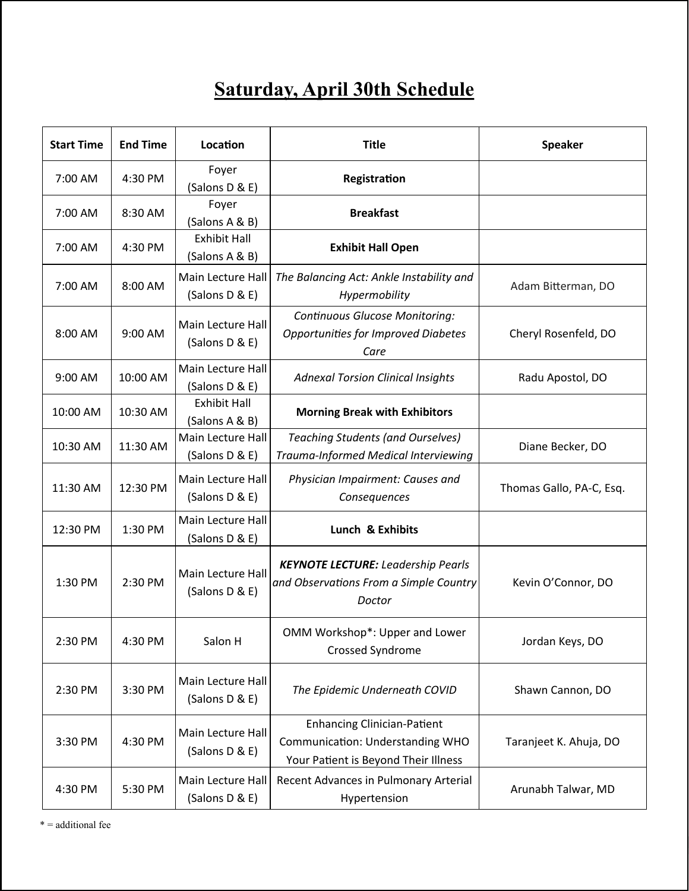## **Saturday, April 30th Schedule**

| <b>Start Time</b> | <b>End Time</b> | Location                              | <b>Title</b>                                                                                                   | <b>Speaker</b>           |
|-------------------|-----------------|---------------------------------------|----------------------------------------------------------------------------------------------------------------|--------------------------|
| 7:00 AM           | 4:30 PM         | Foyer<br>(Salons D & E)               | Registration                                                                                                   |                          |
| 7:00 AM           | 8:30 AM         | Foyer<br>(Salons A & B)               | <b>Breakfast</b>                                                                                               |                          |
| 7:00 AM           | 4:30 PM         | <b>Exhibit Hall</b><br>(Salons A & B) | <b>Exhibit Hall Open</b>                                                                                       |                          |
| 7:00 AM           | 8:00 AM         | Main Lecture Hall<br>(Salons D & E)   | The Balancing Act: Ankle Instability and<br>Hypermobility                                                      | Adam Bitterman, DO       |
| 8:00 AM           | 9:00 AM         | Main Lecture Hall<br>(Salons D & E)   | <b>Continuous Glucose Monitoring:</b><br><b>Opportunities for Improved Diabetes</b><br>Care                    | Cheryl Rosenfeld, DO     |
| 9:00 AM           | 10:00 AM        | Main Lecture Hall<br>(Salons D & E)   | <b>Adnexal Torsion Clinical Insights</b>                                                                       | Radu Apostol, DO         |
| 10:00 AM          | 10:30 AM        | <b>Exhibit Hall</b><br>(Salons A & B) | <b>Morning Break with Exhibitors</b>                                                                           |                          |
| 10:30 AM          | 11:30 AM        | Main Lecture Hall<br>(Salons D & E)   | <b>Teaching Students (and Ourselves)</b><br>Trauma-Informed Medical Interviewing                               | Diane Becker, DO         |
| 11:30 AM          | 12:30 PM        | Main Lecture Hall<br>(Salons D & E)   | Physician Impairment: Causes and<br>Consequences                                                               | Thomas Gallo, PA-C, Esq. |
| 12:30 PM          | 1:30 PM         | Main Lecture Hall<br>(Salons D & E)   | Lunch & Exhibits                                                                                               |                          |
| 1:30 PM           | 2:30 PM         | Main Lecture Hall<br>(Salons D & E)   | <b>KEYNOTE LECTURE:</b> Leadership Pearls<br>and Observations From a Simple Country<br>Doctor                  | Kevin O'Connor, DO       |
| 2:30 PM           | 4:30 PM         | Salon H                               | OMM Workshop*: Upper and Lower<br><b>Crossed Syndrome</b>                                                      | Jordan Keys, DO          |
| 2:30 PM           | 3:30 PM         | Main Lecture Hall<br>(Salons D & E)   | The Epidemic Underneath COVID                                                                                  | Shawn Cannon, DO         |
| 3:30 PM           | 4:30 PM         | Main Lecture Hall<br>(Salons D & E)   | <b>Enhancing Clinician-Patient</b><br>Communication: Understanding WHO<br>Your Patient is Beyond Their Illness | Taranjeet K. Ahuja, DO   |
| 4:30 PM           | 5:30 PM         | Main Lecture Hall<br>(Salons D & E)   | Recent Advances in Pulmonary Arterial<br>Hypertension                                                          | Arunabh Talwar, MD       |

\* = additional fee